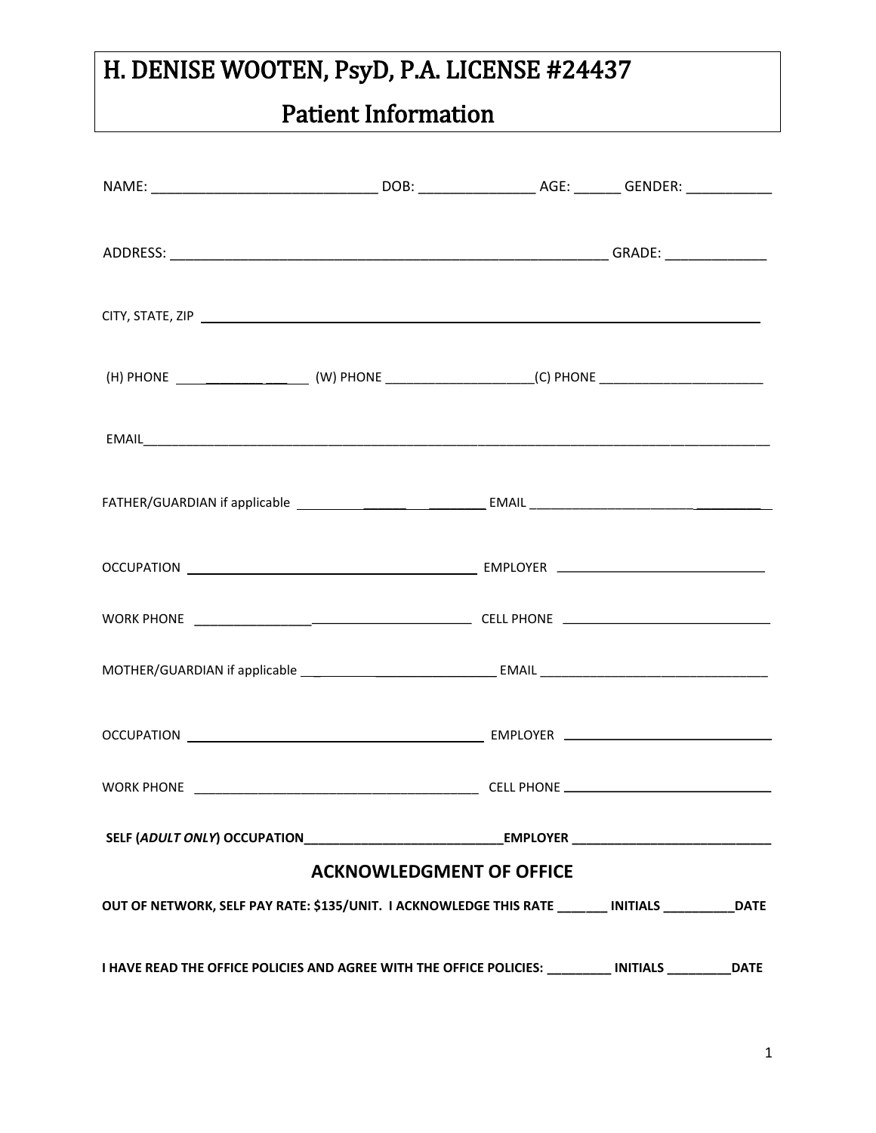# Patient Information

| SELF (ADULT ONLY) OCCUPATION_________________________________EMPLOYER _____________________________  |                                 |  |             |
|------------------------------------------------------------------------------------------------------|---------------------------------|--|-------------|
|                                                                                                      | <b>ACKNOWLEDGMENT OF OFFICE</b> |  |             |
| OUT OF NETWORK, SELF PAY RATE: \$135/UNIT. I ACKNOWLEDGE THIS RATE ________ INITIALS __________ DATE |                                 |  |             |
| I HAVE READ THE OFFICE POLICIES AND AGREE WITH THE OFFICE POLICIES: _________ INITIALS _________     |                                 |  | <b>DATE</b> |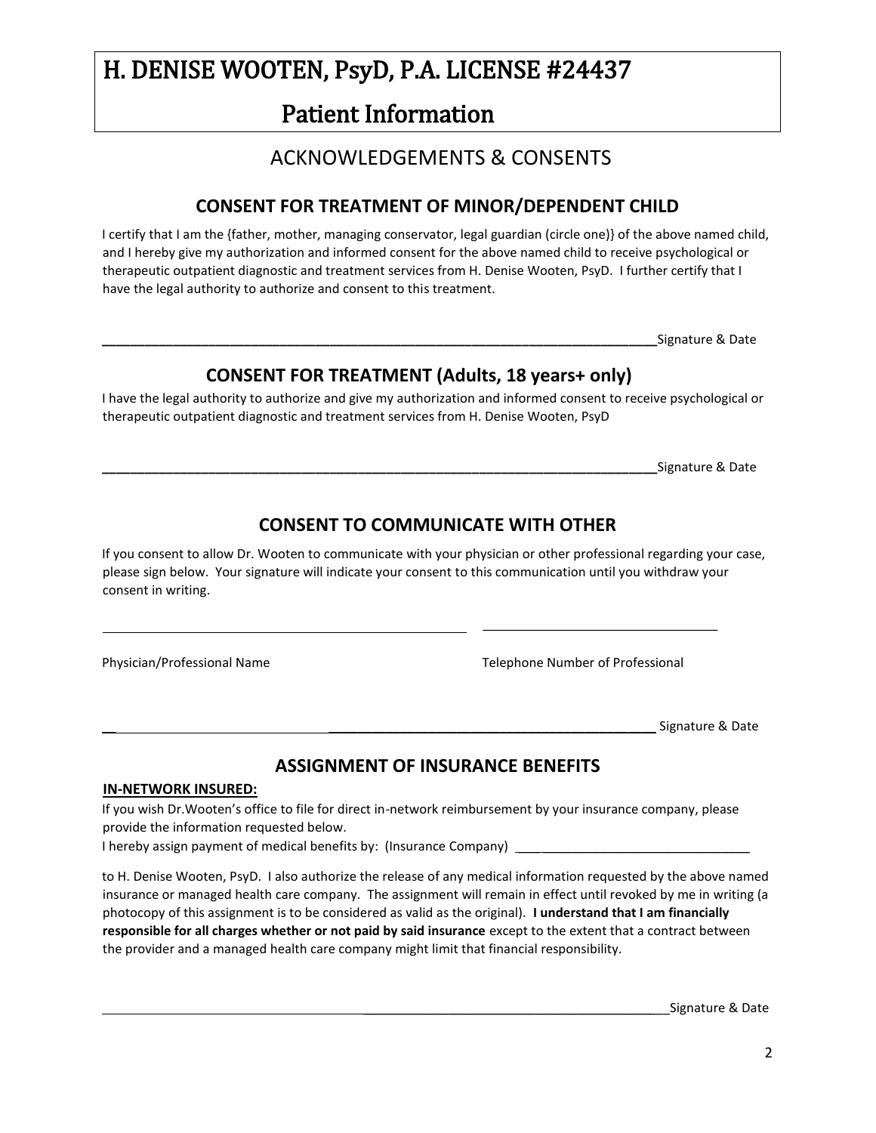# Patient Information

#### ACKNOWLEDGEMENTS & CONSENTS

#### **CONSENT FOR TREATMENT OF MINOR/DEPENDENT CHILD**

I certify that I am the {father, mother, managing conservator, legal guardian (circle one)} of the above named child, and I hereby give my authorization and informed consent for the above named child to receive psychological or therapeutic outpatient diagnostic and treatment services from H. Denise Wooten, PsyD. I further certify that I have the legal authority to authorize and consent to this treatment.

**\_\_\_\_\_\_\_\_\_\_\_\_\_\_\_\_\_\_\_\_\_\_\_\_\_\_\_\_\_\_\_\_\_\_\_\_\_\_\_\_\_\_\_\_\_\_\_\_\_\_\_\_\_\_\_\_\_\_\_\_\_\_\_\_\_\_\_\_\_\_\_\_\_\_\_\_\_\_**Signature & Date

#### **CONSENT FOR TREATMENT (Adults, 18 years+ only)**

I have the legal authority to authorize and give my authorization and informed consent to receive psychological or therapeutic outpatient diagnostic and treatment services from H. Denise Wooten, PsyD

**\_\_\_\_\_\_\_\_\_\_\_\_\_\_\_\_\_\_\_\_\_\_\_\_\_\_\_\_\_\_\_\_\_\_\_\_\_\_\_\_\_\_\_\_\_\_\_\_\_\_\_\_\_\_\_\_\_\_\_\_\_\_\_\_\_\_\_\_\_\_\_\_\_\_\_\_\_\_**Signature & Date

#### **CONSENT TO COMMUNICATE WITH OTHER**

If you consent to allow Dr. Wooten to communicate with your physician or other professional regarding your case, please sign below. Your signature will indicate your consent to this communication until you withdraw your consent in writing.

l,

Physician/Professional Name Telephone Number of Professional

Signature & Date

#### **ASSIGNMENT OF INSURANCE BENEFITS**

#### **IN-NETWORK INSURED:**

If you wish Dr.Wooten's office to file for direct in-network reimbursement by your insurance company, please provide the information requested below.

I hereby assign payment of medical benefits by: (Insurance Company) \_

to H. Denise Wooten, PsyD. I also authorize the release of any medical information requested by the above named insurance or managed health care company. The assignment will remain in effect until revoked by me in writing (a photocopy of this assignment is to be considered as valid as the original). **I understand that I am financially responsible for all charges whether or not paid by said insurance** except to the extent that a contract between the provider and a managed health care company might limit that financial responsibility.

Signature & Date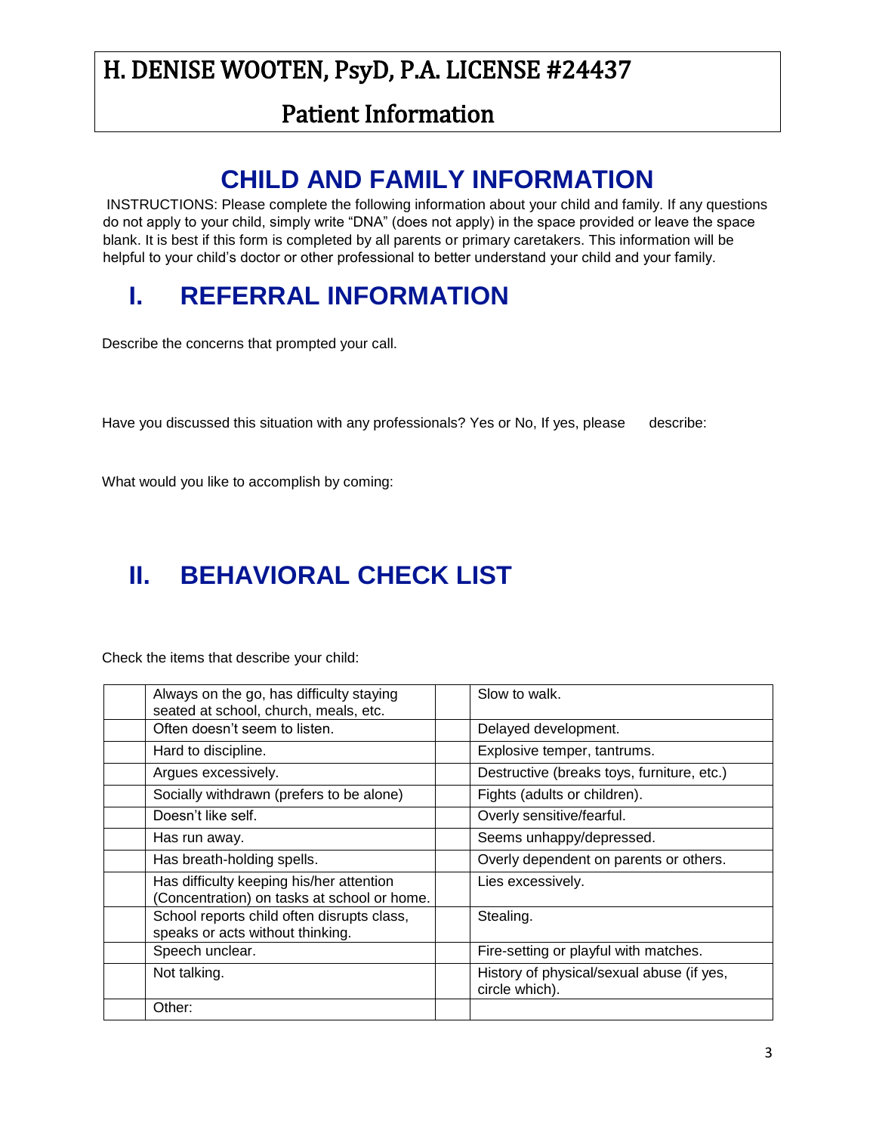### Patient Information

# **CHILD AND FAMILY INFORMATION**

INSTRUCTIONS: Please complete the following information about your child and family. If any questions do not apply to your child, simply write "DNA" (does not apply) in the space provided or leave the space blank. It is best if this form is completed by all parents or primary caretakers. This information will be helpful to your child's doctor or other professional to better understand your child and your family.

# **I. REFERRAL INFORMATION**

Describe the concerns that prompted your call.

Have you discussed this situation with any professionals? Yes or No, If yes, please describe:

What would you like to accomplish by coming:

# **II. BEHAVIORAL CHECK LIST**

Check the items that describe your child:

| Always on the go, has difficulty staying<br>seated at school, church, meals, etc.       | Slow to walk.                                               |
|-----------------------------------------------------------------------------------------|-------------------------------------------------------------|
| Often doesn't seem to listen.                                                           | Delayed development.                                        |
| Hard to discipline.                                                                     | Explosive temper, tantrums.                                 |
| Argues excessively.                                                                     | Destructive (breaks toys, furniture, etc.)                  |
| Socially withdrawn (prefers to be alone)                                                | Fights (adults or children).                                |
| Doesn't like self.                                                                      | Overly sensitive/fearful.                                   |
| Has run away.                                                                           | Seems unhappy/depressed.                                    |
| Has breath-holding spells.                                                              | Overly dependent on parents or others.                      |
| Has difficulty keeping his/her attention<br>(Concentration) on tasks at school or home. | Lies excessively.                                           |
| School reports child often disrupts class,<br>speaks or acts without thinking.          | Stealing.                                                   |
| Speech unclear.                                                                         | Fire-setting or playful with matches.                       |
| Not talking.                                                                            | History of physical/sexual abuse (if yes,<br>circle which). |
| Other:                                                                                  |                                                             |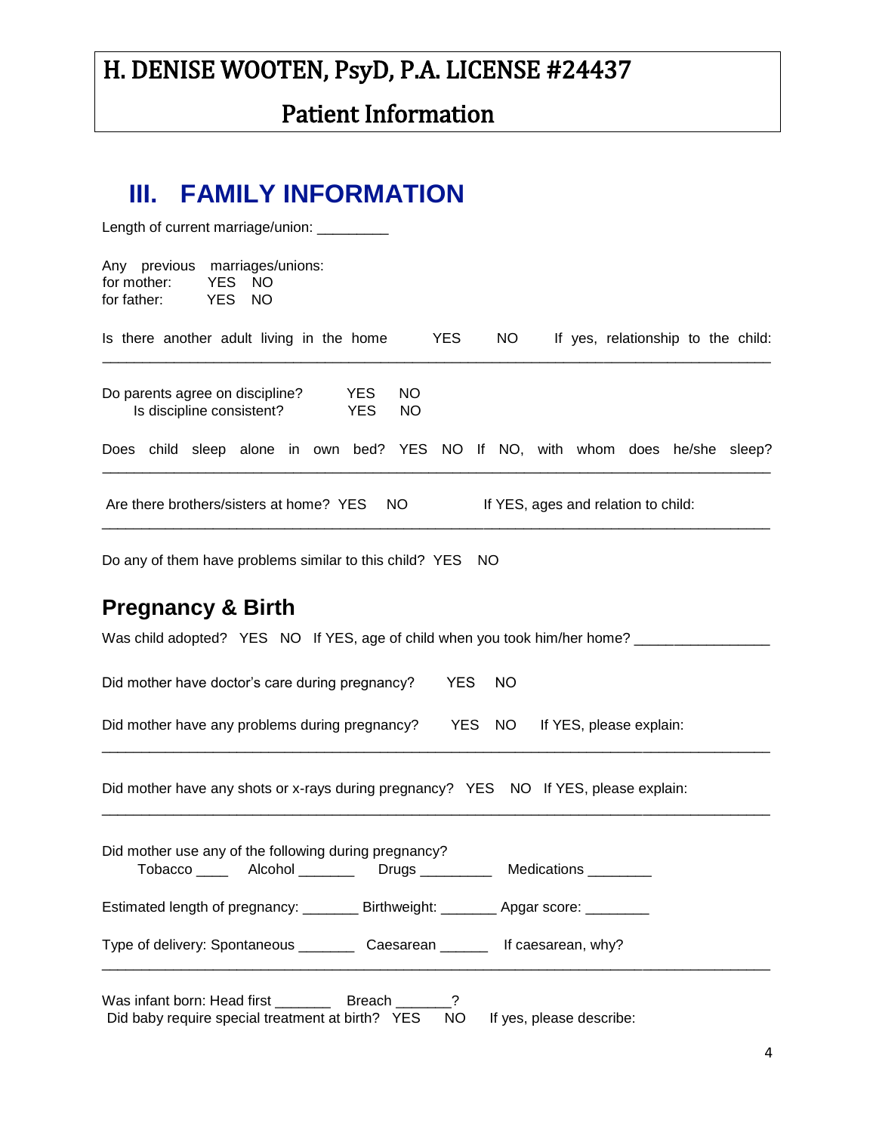# Patient Information

## **III. FAMILY INFORMATION**

| Length of current marriage/union: _________                                                                                                                                                                                    |
|--------------------------------------------------------------------------------------------------------------------------------------------------------------------------------------------------------------------------------|
| Any previous marriages/unions:<br><b>YES</b><br>for mother:<br><b>NO</b><br>for father:<br><b>YES</b><br><b>NO</b>                                                                                                             |
| Is there another adult living in the home<br><b>YES</b><br>NO.<br>If yes, relationship to the child:                                                                                                                           |
| Do parents agree on discipline?<br><b>NO</b><br><b>YES</b><br>Is discipline consistent?<br><b>YES</b><br><b>NO</b>                                                                                                             |
| Does child sleep alone in own bed? YES NO If NO, with whom does he/she sleep?                                                                                                                                                  |
| Are there brothers/sisters at home? YES<br>If YES, ages and relation to child:<br>NO.                                                                                                                                          |
| Do any of them have problems similar to this child? YES NO                                                                                                                                                                     |
| <b>Pregnancy &amp; Birth</b>                                                                                                                                                                                                   |
| Was child adopted? YES NO If YES, age of child when you took him/her home? _____________                                                                                                                                       |
| Did mother have doctor's care during pregnancy?<br><b>YES</b><br><b>NO</b>                                                                                                                                                     |
| Did mother have any problems during pregnancy?<br><b>YES</b><br>NO<br>If YES, please explain:                                                                                                                                  |
| Did mother have any shots or x-rays during pregnancy? YES NO If YES, please explain:                                                                                                                                           |
| Did mother use any of the following during pregnancy?<br>Tobacco _____ Alcohol ________ Drugs _________ Medications ________                                                                                                   |
| Estimated length of pregnancy: _________ Birthweight: ________ Apgar score: ________                                                                                                                                           |
| Type of delivery: Spontaneous __________ Caesarean ________ If caesarean, why?                                                                                                                                                 |
| a to face it is a contribution of the contribution of the contribution of the contribution of the contribution of the contribution of the contribution of the contribution of the contribution of the contribution of the cont |

Was infant born: Head first \_\_\_\_\_\_\_\_\_\_ Breach Did baby require special treatment at birth? YES NO If yes, please describe: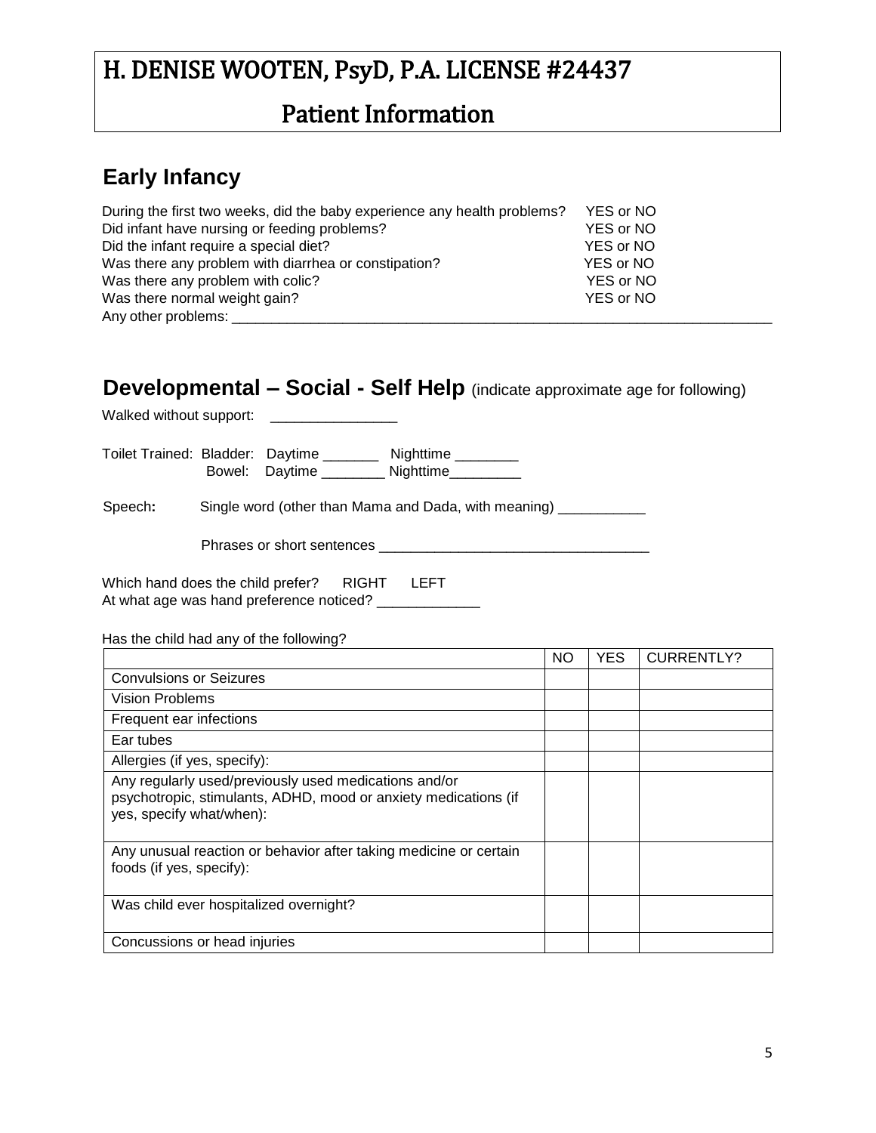### Patient Information

#### **Early Infancy**

| During the first two weeks, did the baby experience any health problems? | YES or NO |
|--------------------------------------------------------------------------|-----------|
| Did infant have nursing or feeding problems?                             | YES or NO |
| Did the infant require a special diet?                                   | YES or NO |
| Was there any problem with diarrhea or constipation?                     | YES or NO |
| Was there any problem with colic?                                        | YES or NO |
| Was there normal weight gain?                                            | YES or NO |
| Any other problems:                                                      |           |

#### **Developmental – Social - Self Help** (indicate approximate age for following)

Walked without support: \_\_\_\_\_\_\_\_\_\_\_\_\_\_\_\_

| Toilet Trained: Bladder: Daytime |                | Nighttime |
|----------------------------------|----------------|-----------|
|                                  | Bowel: Daytime | Nighttime |

Speech: Single word (other than Mama and Dada, with meaning) \_\_\_\_\_\_\_\_\_\_\_

Phrases or short sentences \_\_\_\_\_\_\_\_\_\_\_\_\_\_\_\_\_\_\_\_\_\_\_\_\_\_\_\_\_\_\_\_\_\_

Which hand does the child prefer? RIGHT LEFT At what age was hand preference noticed? \_\_\_\_\_\_\_\_\_\_\_\_\_\_

Has the child had any of the following?

|                                                                                                                                                      | NO. | <b>YES</b> | <b>CURRENTLY?</b> |
|------------------------------------------------------------------------------------------------------------------------------------------------------|-----|------------|-------------------|
| <b>Convulsions or Seizures</b>                                                                                                                       |     |            |                   |
| <b>Vision Problems</b>                                                                                                                               |     |            |                   |
| Frequent ear infections                                                                                                                              |     |            |                   |
| Ear tubes                                                                                                                                            |     |            |                   |
| Allergies (if yes, specify):                                                                                                                         |     |            |                   |
| Any regularly used/previously used medications and/or<br>psychotropic, stimulants, ADHD, mood or anxiety medications (if<br>yes, specify what/when): |     |            |                   |
| Any unusual reaction or behavior after taking medicine or certain<br>foods (if yes, specify):                                                        |     |            |                   |
| Was child ever hospitalized overnight?                                                                                                               |     |            |                   |
| Concussions or head injuries                                                                                                                         |     |            |                   |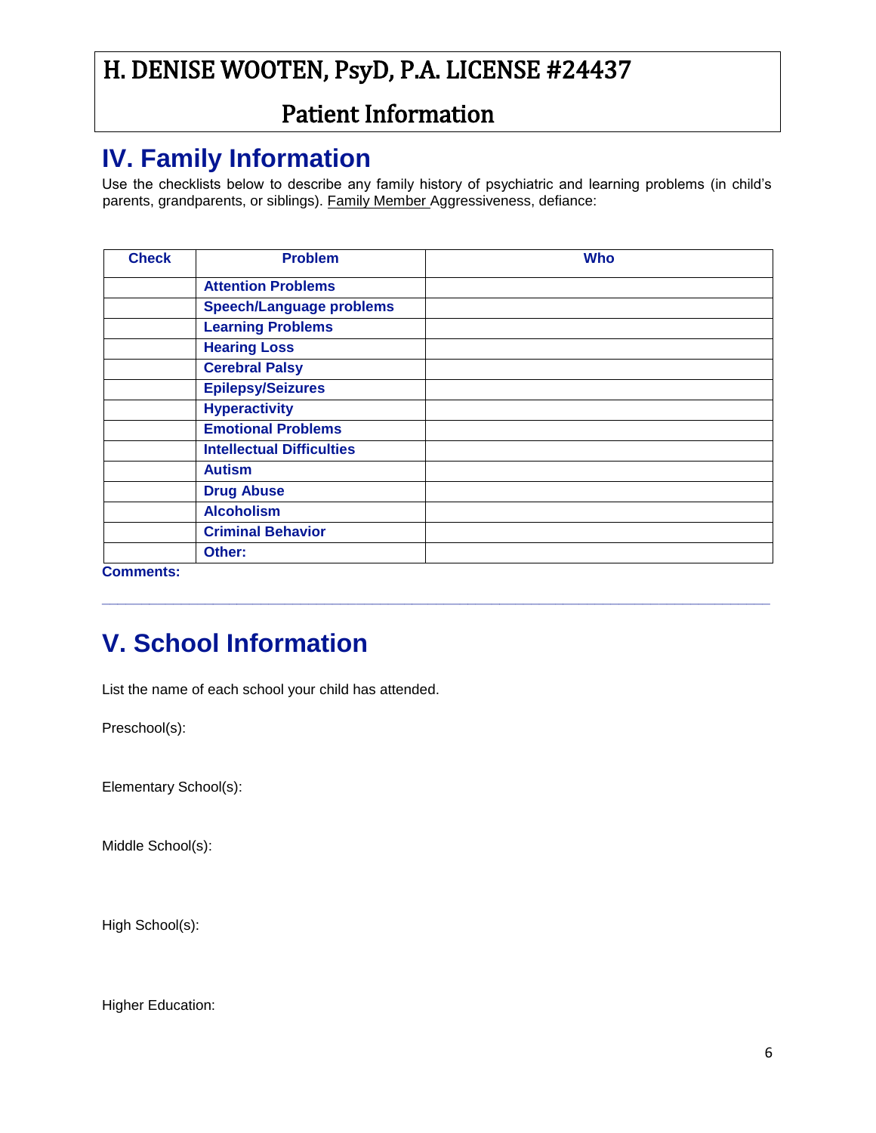### Patient Information

# **IV. Family Information**

Use the checklists below to describe any family history of psychiatric and learning problems (in child's parents, grandparents, or siblings). Family Member Aggressiveness, defiance:

| <b>Check</b>     | <b>Problem</b>                   | <b>Who</b> |
|------------------|----------------------------------|------------|
|                  | <b>Attention Problems</b>        |            |
|                  | <b>Speech/Language problems</b>  |            |
|                  | <b>Learning Problems</b>         |            |
|                  | <b>Hearing Loss</b>              |            |
|                  | <b>Cerebral Palsy</b>            |            |
|                  | <b>Epilepsy/Seizures</b>         |            |
|                  | <b>Hyperactivity</b>             |            |
|                  | <b>Emotional Problems</b>        |            |
|                  | <b>Intellectual Difficulties</b> |            |
|                  | <b>Autism</b>                    |            |
|                  | <b>Drug Abuse</b>                |            |
|                  | <b>Alcoholism</b>                |            |
|                  | <b>Criminal Behavior</b>         |            |
|                  | Other:                           |            |
| <b>Comments:</b> |                                  |            |

**\_\_\_\_\_\_\_\_\_\_\_\_\_\_\_\_\_\_\_\_\_\_\_\_\_\_\_\_\_\_\_\_\_\_\_\_\_\_\_\_\_\_\_\_\_\_\_\_\_\_\_\_\_\_\_\_\_\_\_\_\_\_\_\_\_\_\_\_\_\_\_\_\_\_\_\_\_\_\_\_\_\_\_\_**

# **V. School Information**

List the name of each school your child has attended.

Preschool(s):

Elementary School(s):

Middle School(s):

High School(s):

Higher Education: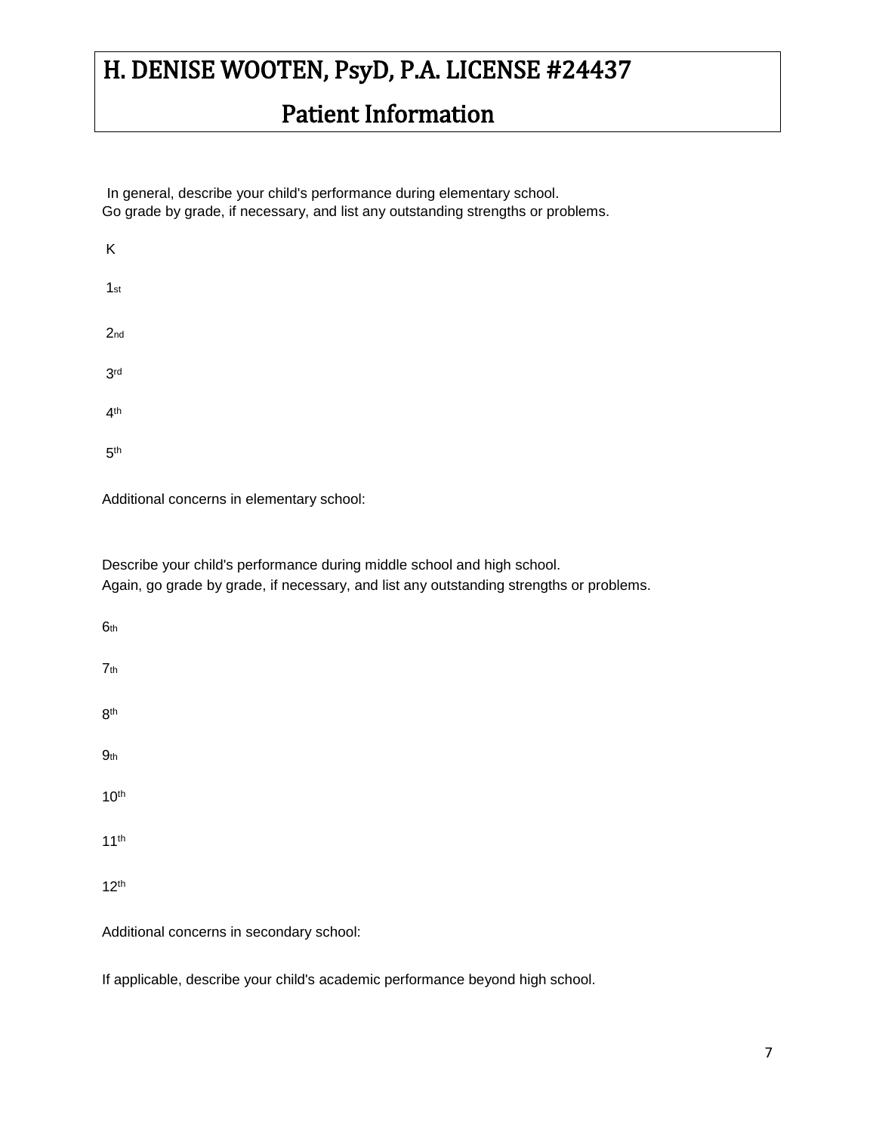## Patient Information

In general, describe your child's performance during elementary school. Go grade by grade, if necessary, and list any outstanding strengths or problems.

| Κ               |  |  |  |
|-----------------|--|--|--|
| $1st$           |  |  |  |
| 2 <sub>nd</sub> |  |  |  |
| 3 <sup>rd</sup> |  |  |  |
| 4 <sup>th</sup> |  |  |  |
| 5 <sup>th</sup> |  |  |  |

Additional concerns in elementary school:

Describe your child's performance during middle school and high school. Again, go grade by grade, if necessary, and list any outstanding strengths or problems.

| 6th                                      |
|------------------------------------------|
| 7 <sub>th</sub>                          |
| 8 <sup>th</sup>                          |
| 9 <sub>th</sub>                          |
| 10 <sup>th</sup>                         |
| 11 <sup>th</sup>                         |
| 12 <sup>th</sup>                         |
| Additional concerns in secondary school: |

If applicable, describe your child's academic performance beyond high school.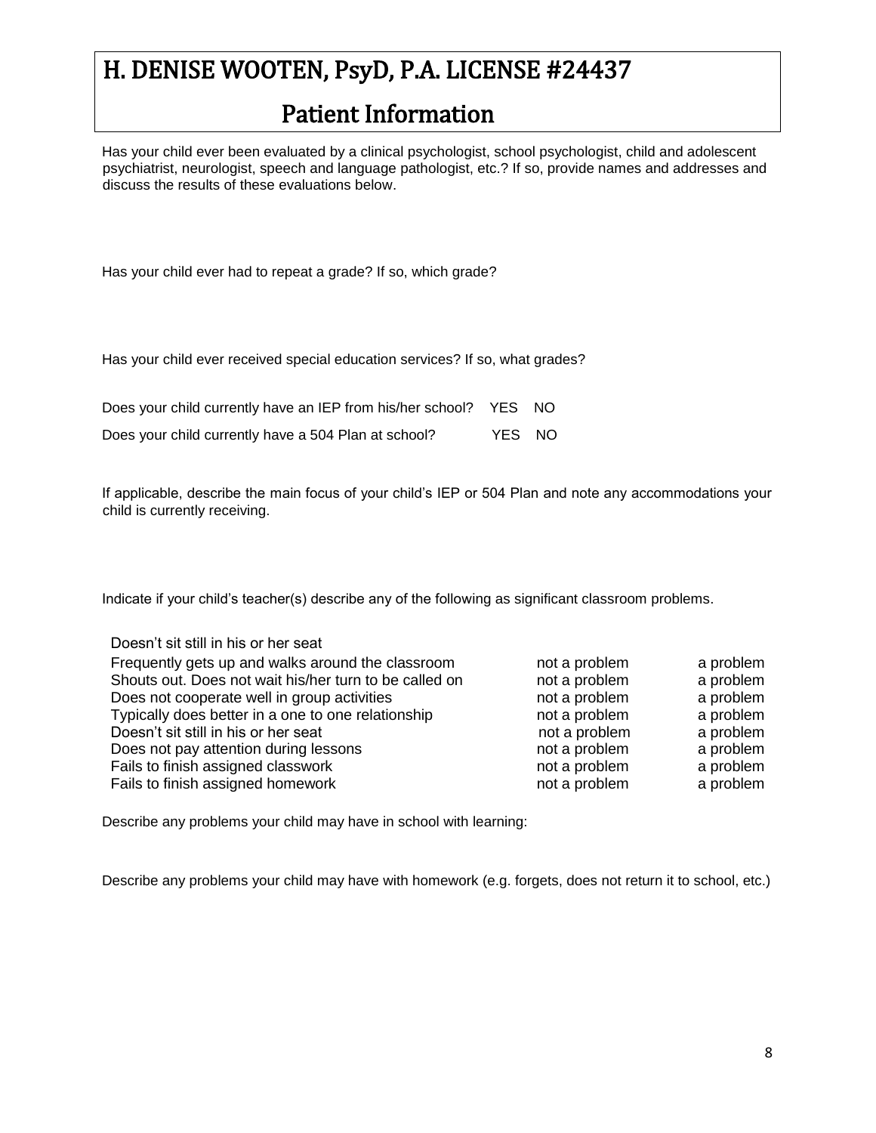### Patient Information

Has your child ever been evaluated by a clinical psychologist, school psychologist, child and adolescent psychiatrist, neurologist, speech and language pathologist, etc.? If so, provide names and addresses and discuss the results of these evaluations below.

Has your child ever had to repeat a grade? If so, which grade?

Has your child ever received special education services? If so, what grades?

| Does your child currently have an IEP from his/her school? YES NO |        |  |
|-------------------------------------------------------------------|--------|--|
| Does your child currently have a 504 Plan at school?              | YES NO |  |

If applicable, describe the main focus of your child's IEP or 504 Plan and note any accommodations your child is currently receiving.

Indicate if your child's teacher(s) describe any of the following as significant classroom problems.

| Doesn't sit still in his or her seat                   |               |           |
|--------------------------------------------------------|---------------|-----------|
| Frequently gets up and walks around the classroom      | not a problem | a problem |
| Shouts out. Does not wait his/her turn to be called on | not a problem | a problem |
| Does not cooperate well in group activities            | not a problem | a problem |
| Typically does better in a one to one relationship     | not a problem | a problem |
| Doesn't sit still in his or her seat                   | not a problem | a problem |
| Does not pay attention during lessons                  | not a problem | a problem |
| Fails to finish assigned classwork                     | not a problem | a problem |
| Fails to finish assigned homework                      | not a problem | a problem |

Describe any problems your child may have in school with learning:

Describe any problems your child may have with homework (e.g. forgets, does not return it to school, etc.)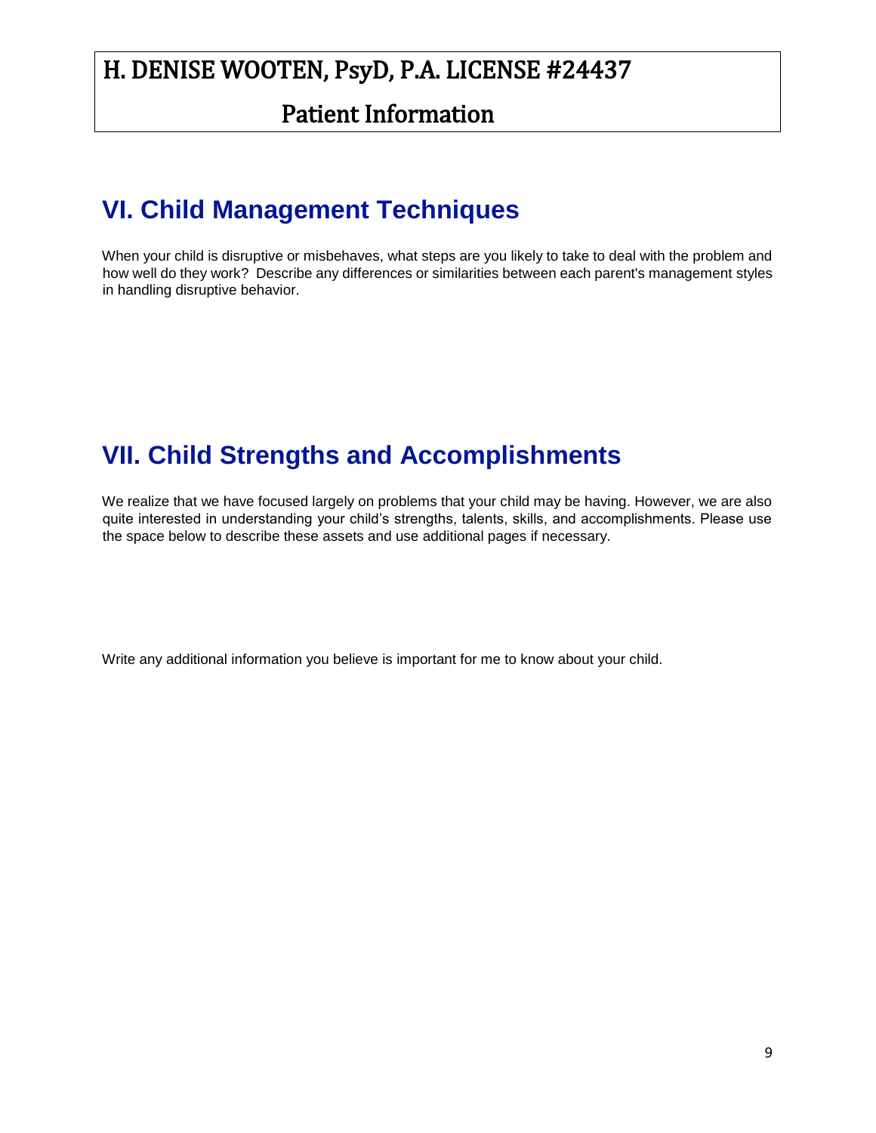#### Patient Information

# **VI. Child Management Techniques**

When your child is disruptive or misbehaves, what steps are you likely to take to deal with the problem and how well do they work? Describe any differences or similarities between each parent's management styles in handling disruptive behavior.

# **VII. Child Strengths and Accomplishments**

We realize that we have focused largely on problems that your child may be having. However, we are also quite interested in understanding your child's strengths, talents, skills, and accomplishments. Please use the space below to describe these assets and use additional pages if necessary.

Write any additional information you believe is important for me to know about your child.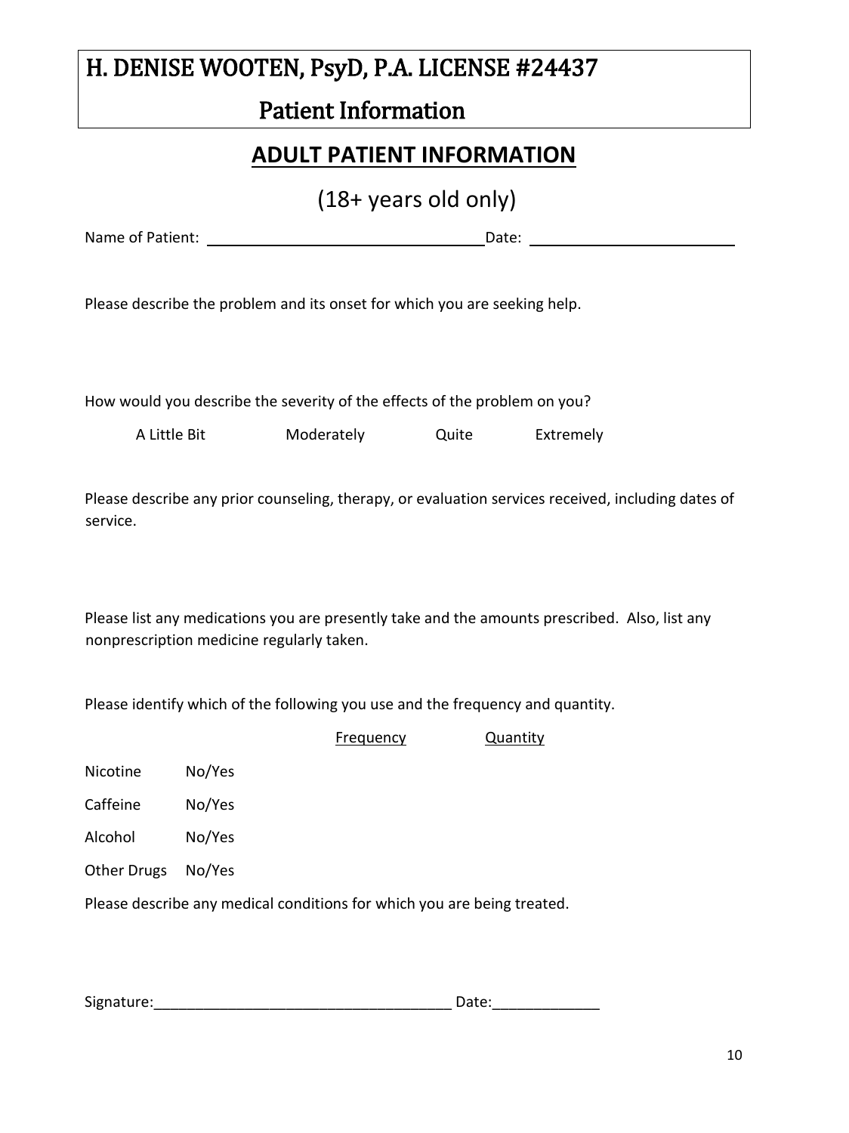### Patient Information

#### **ADULT PATIENT INFORMATION**

(18+ years old only)

Name of Patient: Date:

Please describe the problem and its onset for which you are seeking help.

How would you describe the severity of the effects of the problem on you?

A Little Bit Moderately Quite Extremely

Please describe any prior counseling, therapy, or evaluation services received, including dates of service.

Please list any medications you are presently take and the amounts prescribed. Also, list any nonprescription medicine regularly taken.

Please identify which of the following you use and the frequency and quantity.

|                    |                                                                         | Frequency | Quantity |
|--------------------|-------------------------------------------------------------------------|-----------|----------|
| Nicotine           | No/Yes                                                                  |           |          |
| Caffeine           | No/Yes                                                                  |           |          |
| Alcohol            | No/Yes                                                                  |           |          |
| <b>Other Drugs</b> | No/Yes                                                                  |           |          |
|                    | Please describe any medical conditions for which you are being treated. |           |          |
|                    |                                                                         |           |          |

Signature:\_\_\_\_\_\_\_\_\_\_\_\_\_\_\_\_\_\_\_\_\_\_\_\_\_\_\_\_\_\_\_\_\_\_\_\_ Date:\_\_\_\_\_\_\_\_\_\_\_\_\_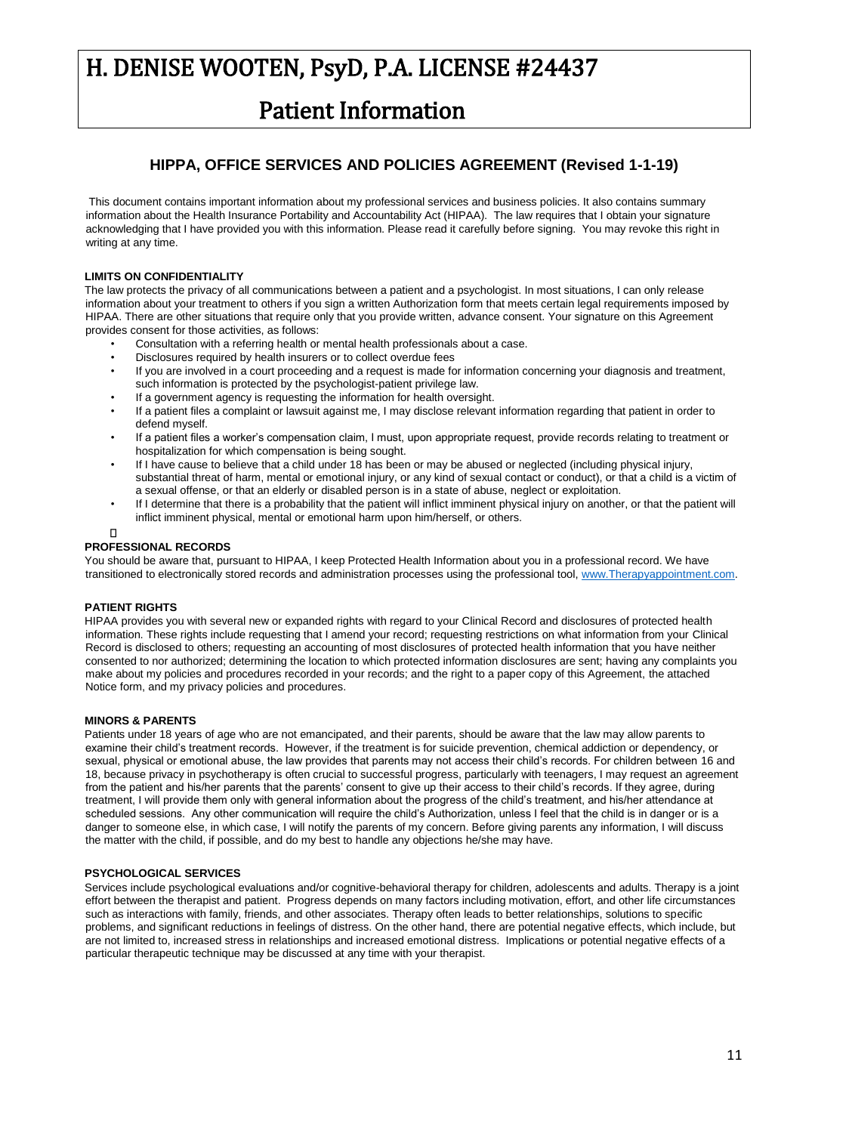### Patient Information

#### **HIPPA, OFFICE SERVICES AND POLICIES AGREEMENT (Revised 1-1-19)**

This document contains important information about my professional services and business policies. It also contains summary information about the Health Insurance Portability and Accountability Act (HIPAA). The law requires that I obtain your signature acknowledging that I have provided you with this information. Please read it carefully before signing. You may revoke this right in writing at any time.

#### **LIMITS ON CONFIDENTIALITY**

The law protects the privacy of all communications between a patient and a psychologist. In most situations, I can only release information about your treatment to others if you sign a written Authorization form that meets certain legal requirements imposed by HIPAA. There are other situations that require only that you provide written, advance consent. Your signature on this Agreement provides consent for those activities, as follows:

- Consultation with a referring health or mental health professionals about a case.
- Disclosures required by health insurers or to collect overdue fees
- If you are involved in a court proceeding and a request is made for information concerning your diagnosis and treatment, such information is protected by the psychologist-patient privilege law.
- If a government agency is requesting the information for health oversight.
- If a patient files a complaint or lawsuit against me, I may disclose relevant information regarding that patient in order to defend myself.
- If a patient files a worker's compensation claim, I must, upon appropriate request, provide records relating to treatment or hospitalization for which compensation is being sought.
- If I have cause to believe that a child under 18 has been or may be abused or neglected (including physical injury, substantial threat of harm, mental or emotional injury, or any kind of sexual contact or conduct), or that a child is a victim of a sexual offense, or that an elderly or disabled person is in a state of abuse, neglect or exploitation.
- If I determine that there is a probability that the patient will inflict imminent physical injury on another, or that the patient will inflict imminent physical, mental or emotional harm upon him/herself, or others.
- $\Box$

#### **PROFESSIONAL RECORDS**

You should be aware that, pursuant to HIPAA, I keep Protected Health Information about you in a professional record. We have transitioned to electronically stored records and administration processes using the professional tool[, www.Therapyappointment.com.](http://www.therapyappointment.com/) 

#### **PATIENT RIGHTS**

HIPAA provides you with several new or expanded rights with regard to your Clinical Record and disclosures of protected health information. These rights include requesting that I amend your record; requesting restrictions on what information from your Clinical Record is disclosed to others; requesting an accounting of most disclosures of protected health information that you have neither consented to nor authorized; determining the location to which protected information disclosures are sent; having any complaints you make about my policies and procedures recorded in your records; and the right to a paper copy of this Agreement, the attached Notice form, and my privacy policies and procedures.

#### **MINORS & PARENTS**

Patients under 18 years of age who are not emancipated, and their parents, should be aware that the law may allow parents to examine their child's treatment records. However, if the treatment is for suicide prevention, chemical addiction or dependency, or sexual, physical or emotional abuse, the law provides that parents may not access their child's records. For children between 16 and 18, because privacy in psychotherapy is often crucial to successful progress, particularly with teenagers, I may request an agreement from the patient and his/her parents that the parents' consent to give up their access to their child's records. If they agree, during treatment, I will provide them only with general information about the progress of the child's treatment, and his/her attendance at scheduled sessions. Any other communication will require the child's Authorization, unless I feel that the child is in danger or is a danger to someone else, in which case, I will notify the parents of my concern. Before giving parents any information, I will discuss the matter with the child, if possible, and do my best to handle any objections he/she may have.

#### **PSYCHOLOGICAL SERVICES**

Services include psychological evaluations and/or cognitive-behavioral therapy for children, adolescents and adults. Therapy is a joint effort between the therapist and patient. Progress depends on many factors including motivation, effort, and other life circumstances such as interactions with family, friends, and other associates. Therapy often leads to better relationships, solutions to specific problems, and significant reductions in feelings of distress. On the other hand, there are potential negative effects, which include, but are not limited to, increased stress in relationships and increased emotional distress. Implications or potential negative effects of a particular therapeutic technique may be discussed at any time with your therapist.